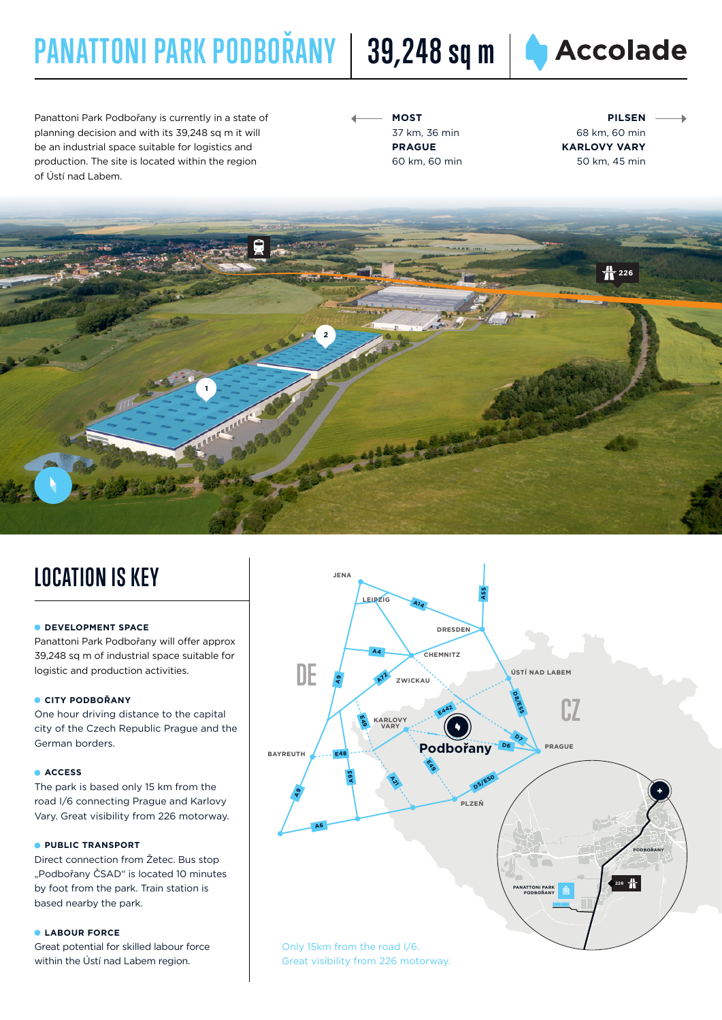# **PANATTONI PARK PODBOŘANY** | 39,248 sq m | ● Accolade

Panattoni Park Podbořany is currently in a state of planning decision and with its 39,248 sq m it will be an industrial space suitable for logistics and production. The site is located within the region of Ústí nad Labem.

**MOST** 37 km, 36 min **PRAGUE** 60 km, 60 min

**PILSEN** 68 km, 60 min **KARLOVY VARY** 50 km, 45 min



### **LOCATION IS KEY**

#### **DEVELOPMENT SPACE**

Panattoni Park Podbořany will offer approx 39,248 sq m of industrial space suitable for logistic and production activities.

#### **CITY PODBOŘANY**

One hour driving distance to the capital city of the Czech Republic Prague and the German borders.

#### **ACCESS**

The park is based only 15 km from the road I/6 connecting Prague and Karlovy Vary. Great visibility from 226 motorway.

#### **PUBLIC TRANSPORT**

Direct connection from Žetec. Bus stop "Podbořany ČSAD" is located 10 minutes by foot from the park. Train station is based nearby the park.

#### **LABOUR FORCE**

Great potential for skilled labour force within the Ústí nad Labem region.



Great visibility from 226 motorway.